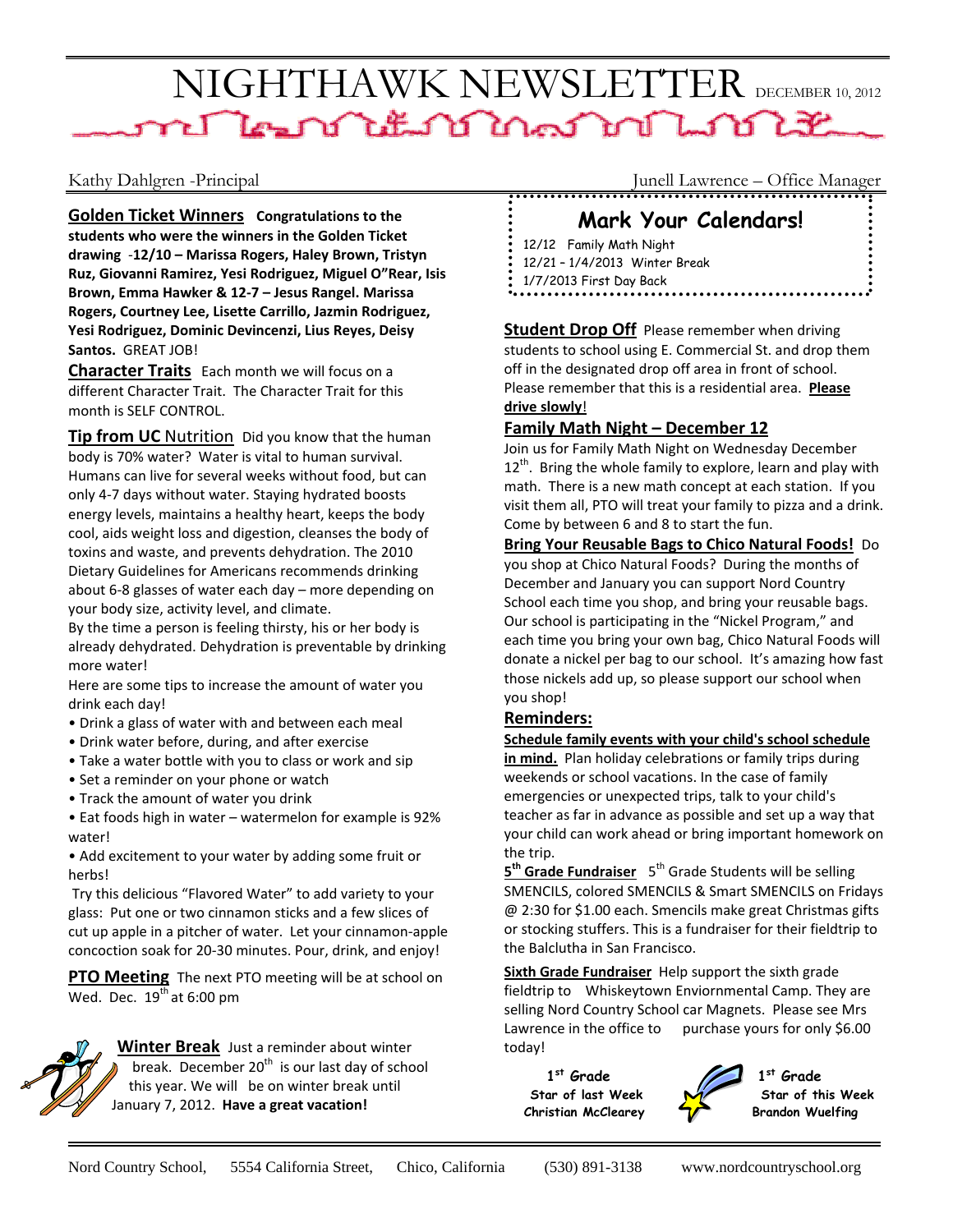# NIGHTHAWK NEWSLETTER DECEMBER 10, 2012

**Golden Ticket Winners Congratulations to the students who were the winners in the Golden Ticket drawing** ‐**12/10 – Marissa Rogers, Haley Brown, Tristyn Ruz, Giovanni Ramirez, Yesi Rodriguez, Miguel O"Rear, Isis Brown, Emma Hawker & 12‐7 – Jesus Rangel. Marissa Rogers, Courtney Lee, Lisette Carrillo, Jazmin Rodriguez, Yesi Rodriguez, Dominic Devincenzi, Lius Reyes, Deisy** Santos. **GREAT JOB!** 

**Character Traits** Each month we will focus on a different Character Trait. The Character Trait for this month is SELF CONTROL.

**Tip from UC** Nutrition Did you know that the human body is 70% water? Water is vital to human survival. Humans can live for several weeks without food, but can only 4‐7 days without water. Staying hydrated boosts energy levels, maintains a healthy heart, keeps the body cool, aids weight loss and digestion, cleanses the body of toxins and waste, and prevents dehydration. The 2010 Dietary Guidelines for Americans recommends drinking about 6‐8 glasses of water each day – more depending on your body size, activity level, and climate.

By the time a person is feeling thirsty, his or her body is already dehydrated. Dehydration is preventable by drinking more water!

Here are some tips to increase the amount of water you drink each day!

- Drink a glass of water with and between each meal
- Drink water before, during, and after exercise
- Take a water bottle with you to class or work and sip
- Set a reminder on your phone or watch
- Track the amount of water you drink

• Eat foods high in water – watermelon for example is 92% water!

• Add excitement to your water by adding some fruit or herbs!

Try this delicious "Flavored Water" to add variety to your glass: Put one or two cinnamon sticks and a few slices of cut up apple in a pitcher of water. Let your cinnamon‐apple concoction soak for 20‐30 minutes. Pour, drink, and enjoy!

**PTO Meeting** The next PTO meeting will be at school on Wed. Dec.  $19^{th}$  at 6:00 pm



**Winter Break** Just a reminder about winter break. December  $20<sup>th</sup>$  is our last day of school this year. We will be on winter break until January 7, 2012. **Have a great vacation!**

Kathy Dahlgren -Principal Junell Lawrence – Office Manager

## **Mark Your Calendars!**

12/12 Family Math Night 12/21 – 1/4/2013 Winter Break 1/7/2013 First Day Back

**Student Drop Off** Please remember when driving students to school using E. Commercial St. and drop them off in the designated drop off area in front of school. Please remember that this is a residential area. **Please drive slowly**!

#### **Family Math Night – December 12**

Join us for Family Math Night on Wednesday December  $12<sup>th</sup>$ . Bring the whole family to explore, learn and play with math. There is a new math concept at each station. If you visit them all, PTO will treat your family to pizza and a drink. Come by between 6 and 8 to start the fun.

**Bring Your Reusable Bags to Chico Natural Foods!** Do you shop at Chico Natural Foods? During the months of December and January you can support Nord Country School each time you shop, and bring your reusable bags. Our school is participating in the "Nickel Program," and each time you bring your own bag, Chico Natural Foods will donate a nickel per bag to our school. It's amazing how fast those nickels add up, so please support our school when you shop!

#### **Reminders:**

#### **Schedule family events with your child's school schedule**

**in mind.** Plan holiday celebrations or family trips during weekends or school vacations. In the case of family emergencies or unexpected trips, talk to your child's teacher as far in advance as possible and set up a way that your child can work ahead or bring important homework on the trip.

**5th Grade Fundraiser** 5th Grade Students will be selling SMENCILS, colored SMENCILS & Smart SMENCILS on Fridays @ 2:30 for \$1.00 each. Smencils make great Christmas gifts or stocking stuffers. This is a fundraiser for their fieldtrip to the Balclutha in San Francisco.

**Sixth Grade Fundraiser** Help support the sixth grade fieldtrip to Whiskeytown Enviornmental Camp. They are selling Nord Country School car Magnets. Please see Mrs Lawrence in the office to purchase yours for only \$6.00 today!

1<sup>st</sup> Grade 1<sup>st</sup> Grade Christian McClearey **Trandon Wuelfing** 



Star of last Week **No. 3** Star of this Week